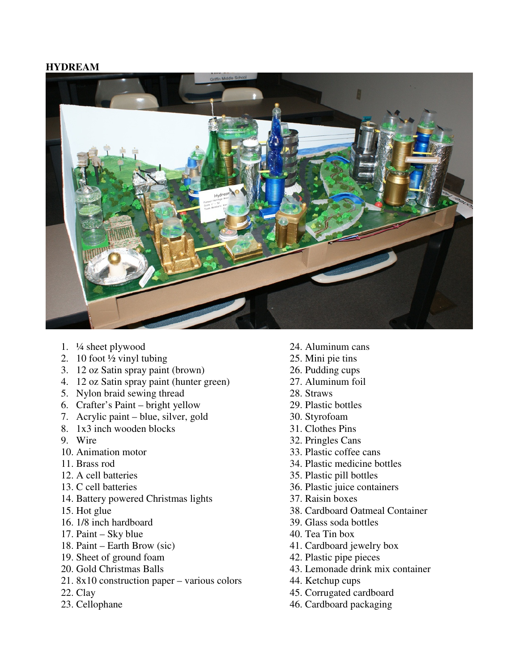## **HYDREAM**



- 1. ¼ sheet plywood
- 2. 10 foot  $\frac{1}{2}$  vinyl tubing
- 3. 12 oz Satin spray paint (brown)
- 4. 12 oz Satin spray paint (hunter green)
- 5. Nylon braid sewing thread
- 6. Crafter's Paint bright yellow
- 7. Acrylic paint blue, silver, gold
- 8. 1x3 inch wooden blocks
- 9. Wire
- 10. Animation motor
- 11. Brass rod
- 12. A cell batteries
- 13. C cell batteries
- 14. Battery powered Christmas lights
- 15. Hot glue
- 16. 1/8 inch hardboard
- 17. Paint Sky blue
- 18. Paint Earth Brow (sic)
- 19. Sheet of ground foam
- 20. Gold Christmas Balls
- 21. 8x10 construction paper various colors
- 22. Clay
- 23. Cellophane
- 24. Aluminum cans
- 25. Mini pie tins
- 26. Pudding cups
- 27. Aluminum foil
- 28. Straws
- 29. Plastic bottles
- 30. Styrofoam
- 31. Clothes Pins
- 32. Pringles Cans
- 33. Plastic coffee cans
- 34. Plastic medicine bottles
- 35. Plastic pill bottles
- 36. Plastic juice containers
- 37. Raisin boxes
- 38. Cardboard Oatmeal Container
- 39. Glass soda bottles
- 40. Tea Tin box
- 41. Cardboard jewelry box
- 42. Plastic pipe pieces
- 43. Lemonade drink mix container
- 44. Ketchup cups
- 45. Corrugated cardboard
- 46. Cardboard packaging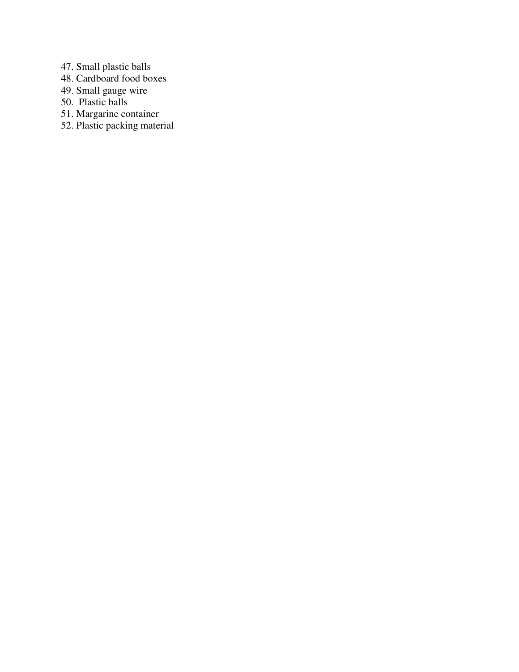- 47. Small plastic balls
- 48. Cardboard food boxes
- 49. Small gauge wire
- 50. Plastic balls
- 51. Margarine container
- 52. Plastic packing material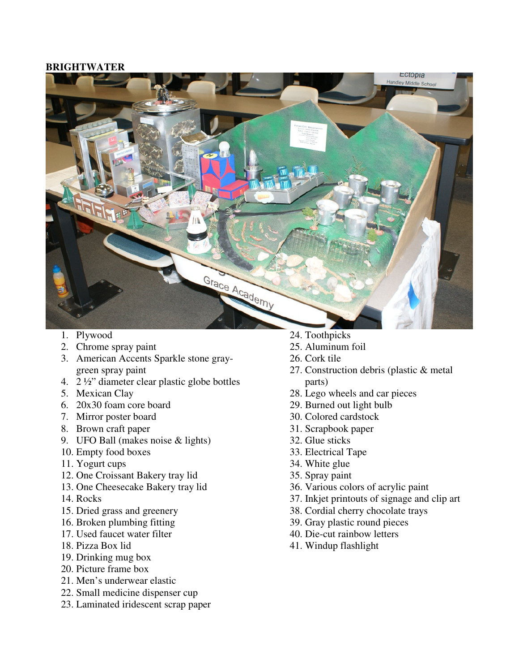## **BRIGHTWATER**



- 1. Plywood
- 2. Chrome spray paint
- 3. American Accents Sparkle stone graygreen spray paint
- 4. 2 ½" diameter clear plastic globe bottles
- 5. Mexican Clay
- 6. 20x30 foam core board
- 7. Mirror poster board
- 8. Brown craft paper
- 9. UFO Ball (makes noise & lights)
- 10. Empty food boxes
- 11. Yogurt cups
- 12. One Croissant Bakery tray lid
- 13. One Cheesecake Bakery tray lid
- 14. Rocks
- 15. Dried grass and greenery
- 16. Broken plumbing fitting
- 17. Used faucet water filter
- 18. Pizza Box lid
- 19. Drinking mug box
- 20. Picture frame box
- 21. Men's underwear elastic
- 22. Small medicine dispenser cup
- 23. Laminated iridescent scrap paper
- 24. Toothpicks
- 25. Aluminum foil
- 26. Cork tile
- 27. Construction debris (plastic & metal parts)
- 28. Lego wheels and car pieces
- 29. Burned out light bulb
- 30. Colored cardstock
- 31. Scrapbook paper
- 32. Glue sticks
- 33. Electrical Tape
- 34. White glue
- 35. Spray paint
- 36. Various colors of acrylic paint
- 37. Inkjet printouts of signage and clip art
- 38. Cordial cherry chocolate trays
- 39. Gray plastic round pieces
- 40. Die-cut rainbow letters
- 41. Windup flashlight